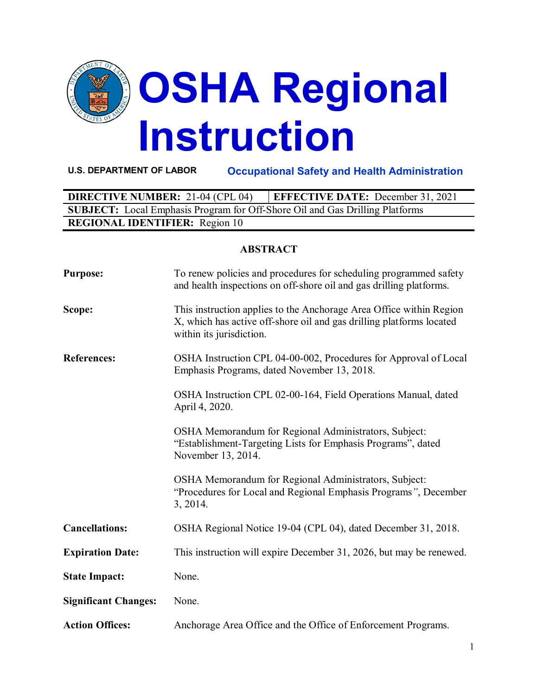

**U.S. DEPARTMENT OF LABOR Occupational Safety and Health Administration**

| <b>DIRECTIVE NUMBER: 21-04 (CPL 04)</b>                                             | <b>EFFECTIVE DATE:</b> December 31, 2021 |  |  |
|-------------------------------------------------------------------------------------|------------------------------------------|--|--|
| <b>SUBJECT:</b> Local Emphasis Program for Off-Shore Oil and Gas Drilling Platforms |                                          |  |  |
| <b>REGIONAL IDENTIFIER:</b> Region 10                                               |                                          |  |  |

#### **ABSTRACT**

| <b>Purpose:</b>             | To renew policies and procedures for scheduling programmed safety<br>and health inspections on off-shore oil and gas drilling platforms.                                |
|-----------------------------|-------------------------------------------------------------------------------------------------------------------------------------------------------------------------|
| Scope:                      | This instruction applies to the Anchorage Area Office within Region<br>X, which has active off-shore oil and gas drilling platforms located<br>within its jurisdiction. |
| <b>References:</b>          | OSHA Instruction CPL 04-00-002, Procedures for Approval of Local<br>Emphasis Programs, dated November 13, 2018.                                                         |
|                             | OSHA Instruction CPL 02-00-164, Field Operations Manual, dated<br>April 4, 2020.                                                                                        |
|                             | OSHA Memorandum for Regional Administrators, Subject:<br>"Establishment-Targeting Lists for Emphasis Programs", dated<br>November 13, 2014.                             |
|                             | OSHA Memorandum for Regional Administrators, Subject:<br>"Procedures for Local and Regional Emphasis Programs", December<br>3, 2014.                                    |
| <b>Cancellations:</b>       | OSHA Regional Notice 19-04 (CPL 04), dated December 31, 2018.                                                                                                           |
| <b>Expiration Date:</b>     | This instruction will expire December 31, 2026, but may be renewed.                                                                                                     |
| <b>State Impact:</b>        | None.                                                                                                                                                                   |
| <b>Significant Changes:</b> | None.                                                                                                                                                                   |
| <b>Action Offices:</b>      | Anchorage Area Office and the Office of Enforcement Programs.                                                                                                           |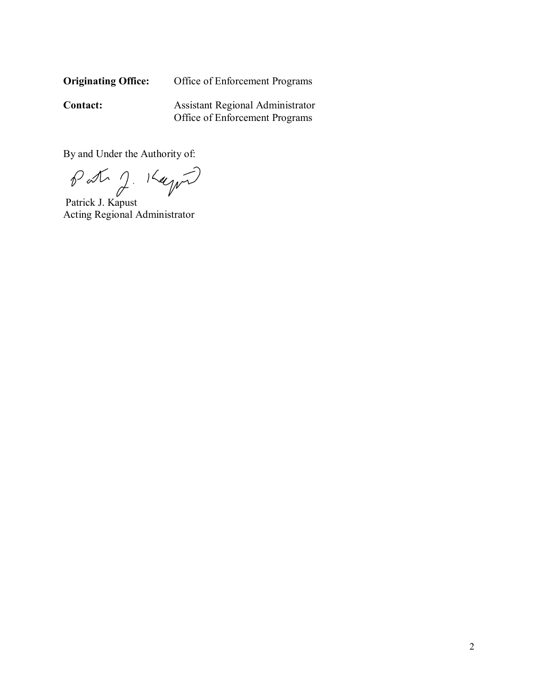| <b>Originating Office:</b> | Office of Enforcement Programs |
|----------------------------|--------------------------------|
|----------------------------|--------------------------------|

**Contact:** Assistant Regional Administrator Office of Enforcement Programs

By and Under the Authority of:

Patr J. Kayn

Acting Regional Administrator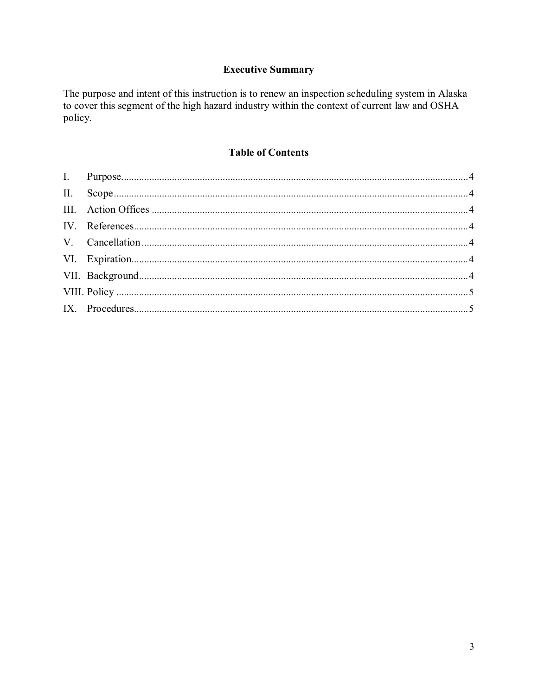# **Executive Summary**

The purpose and intent of this instruction is to renew an inspection scheduling system in Alaska to cover this segment of the high hazard industry within the context of current law and OSHA policy.

### **Table of Contents**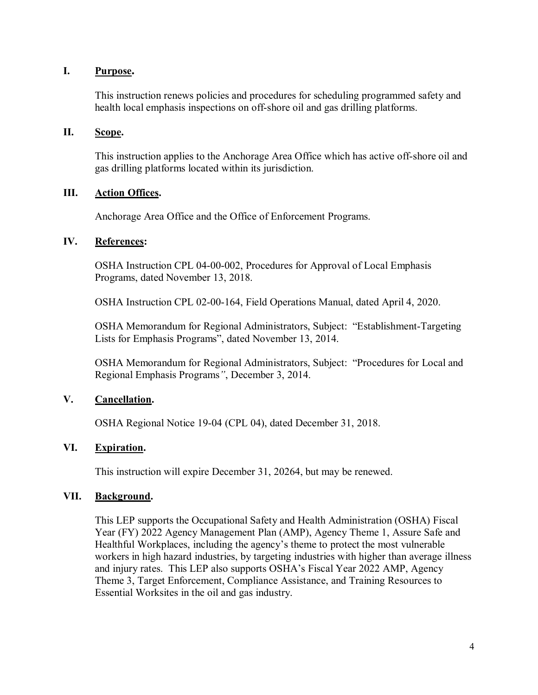#### <span id="page-3-0"></span>**I. Purpose.**

This instruction renews policies and procedures for scheduling programmed safety and health local emphasis inspections on off-shore oil and gas drilling platforms.

### <span id="page-3-1"></span>**II. Scope.**

This instruction applies to the Anchorage Area Office which has active off-shore oil and gas drilling platforms located within its jurisdiction.

#### <span id="page-3-2"></span>**III. Action Offices.**

Anchorage Area Office and the Office of Enforcement Programs.

#### <span id="page-3-3"></span>**IV. References:**

OSHA Instruction CPL 04-00-002, Procedures for Approval of Local Emphasis Programs, dated November 13, 2018.

OSHA Instruction CPL 02-00-164, Field Operations Manual, dated April 4, 2020.

OSHA Memorandum for Regional Administrators, Subject: "Establishment-Targeting Lists for Emphasis Programs", dated November 13, 2014.

OSHA Memorandum for Regional Administrators, Subject: "Procedures for Local and Regional Emphasis Programs*"*, December 3, 2014.

#### <span id="page-3-4"></span>**V. Cancellation.**

OSHA Regional Notice 19-04 (CPL 04), dated December 31, 2018.

#### <span id="page-3-5"></span>**VI. Expiration.**

This instruction will expire December 31, 20264, but may be renewed.

#### <span id="page-3-6"></span>**VII. Background.**

This LEP supports the Occupational Safety and Health Administration (OSHA) Fiscal Year (FY) 2022 Agency Management Plan (AMP), Agency Theme 1, Assure Safe and Healthful Workplaces, including the agency's theme to protect the most vulnerable workers in high hazard industries, by targeting industries with higher than average illness and injury rates. This LEP also supports OSHA's Fiscal Year 2022 AMP, Agency Theme 3, Target Enforcement, Compliance Assistance, and Training Resources to Essential Worksites in the oil and gas industry.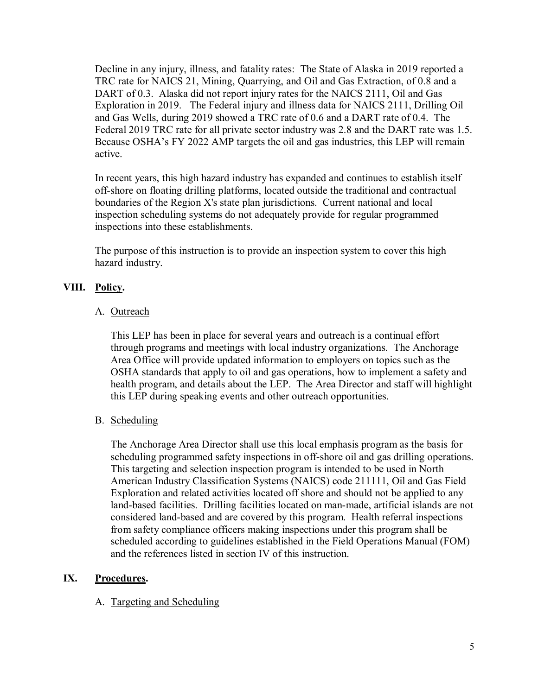Decline in any injury, illness, and fatality rates: The State of Alaska in 2019 reported a TRC rate for NAICS 21, Mining, Quarrying, and Oil and Gas Extraction, of 0.8 and a DART of 0.3. Alaska did not report injury rates for the NAICS 2111, Oil and Gas Exploration in 2019. The Federal injury and illness data for NAICS 2111, Drilling Oil and Gas Wells, during 2019 showed a TRC rate of 0.6 and a DART rate of 0.4. The Federal 2019 TRC rate for all private sector industry was 2.8 and the DART rate was 1.5. Because OSHA's FY 2022 AMP targets the oil and gas industries, this LEP will remain active.

In recent years, this high hazard industry has expanded and continues to establish itself off-shore on floating drilling platforms, located outside the traditional and contractual boundaries of the Region X's state plan jurisdictions. Current national and local inspection scheduling systems do not adequately provide for regular programmed inspections into these establishments.

The purpose of this instruction is to provide an inspection system to cover this high hazard industry.

# <span id="page-4-0"></span>**VIII. Policy.**

### A. Outreach

This LEP has been in place for several years and outreach is a continual effort through programs and meetings with local industry organizations. The Anchorage Area Office will provide updated information to employers on topics such as the OSHA standards that apply to oil and gas operations, how to implement a safety and health program, and details about the LEP. The Area Director and staff will highlight this LEP during speaking events and other outreach opportunities.

### B. Scheduling

The Anchorage Area Director shall use this local emphasis program as the basis for scheduling programmed safety inspections in off-shore oil and gas drilling operations. This targeting and selection inspection program is intended to be used in North American Industry Classification Systems (NAICS) code 211111, Oil and Gas Field Exploration and related activities located off shore and should not be applied to any land-based facilities. Drilling facilities located on man-made, artificial islands are not considered land-based and are covered by this program. Health referral inspections from safety compliance officers making inspections under this program shall be scheduled according to guidelines established in the Field Operations Manual (FOM) and the references listed in section IV of this instruction.

#### <span id="page-4-1"></span>**IX. Procedures.**

### A. Targeting and Scheduling